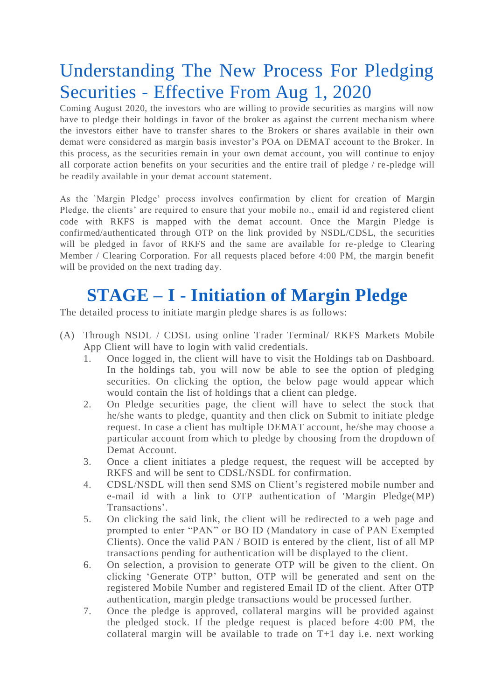## Understanding The New Process For Pledging Securities - Effective From Aug 1, 2020

Coming August 2020, the investors who are willing to provide securities as margins will now have to pledge their holdings in favor of the broker as against the current mecha nism where the investors either have to transfer shares to the Brokers or shares available in their own demat were considered as margin basis investor's POA on DEMAT account to the Broker. In this process, as the securities remain in your own demat account, you will continue to enjoy all corporate action benefits on your securities and the entire trail of pledge / re-pledge will be readily available in your demat account statement.

As the `Margin Pledge' process involves confirmation by client for creation of Margin Pledge, the clients' are required to ensure that your mobile no., email id and registered client code with RKFS is mapped with the demat account. Once the Margin Pledge is confirmed/authenticated through OTP on the link provided by NSDL/CDSL, the securities will be pledged in favor of RKFS and the same are available for re-pledge to Clearing Member / Clearing Corporation. For all requests placed before 4:00 PM, the margin benefit will be provided on the next trading day.

## **STAGE – I - Initiation of Margin Pledge**

The detailed process to initiate margin pledge shares is as follows:

- (A) Through NSDL / CDSL using online Trader Terminal/ RKFS Markets Mobile App Client will have to login with valid credentials.
	- 1. Once logged in, the client will have to visit the Holdings tab on Dashboard. In the holdings tab, you will now be able to see the option of pledging securities. On clicking the option, the below page would appear which would contain the list of holdings that a client can pledge.
	- 2. On Pledge securities page, the client will have to select the stock that he/she wants to pledge, quantity and then click on Submit to initiate pledge request. In case a client has multiple DEMAT account, he/she may choose a particular account from which to pledge by choosing from the dropdown of Demat Account.
	- 3. Once a client initiates a pledge request, the request will be accepted by RKFS and will be sent to CDSL/NSDL for confirmation.
	- 4. CDSL/NSDL will then send SMS on Client's registered mobile number and e-mail id with a link to OTP authentication of 'Margin Pledge(MP) Transactions'.
	- 5. On clicking the said link, the client will be redirected to a web page and prompted to enter "PAN" or BO ID (Mandatory in case of PAN Exempted Clients). Once the valid PAN / BOID is entered by the client, list of all MP transactions pending for authentication will be displayed to the client.
	- 6. On selection, a provision to generate OTP will be given to the client. On clicking 'Generate OTP' button, OTP will be generated and sent on the registered Mobile Number and registered Email ID of the client. After OTP authentication, margin pledge transactions would be processed further.
	- 7. Once the pledge is approved, collateral margins will be provided against the pledged stock. If the pledge request is placed before 4:00 PM, the collateral margin will be available to trade on T+1 day i.e. next working